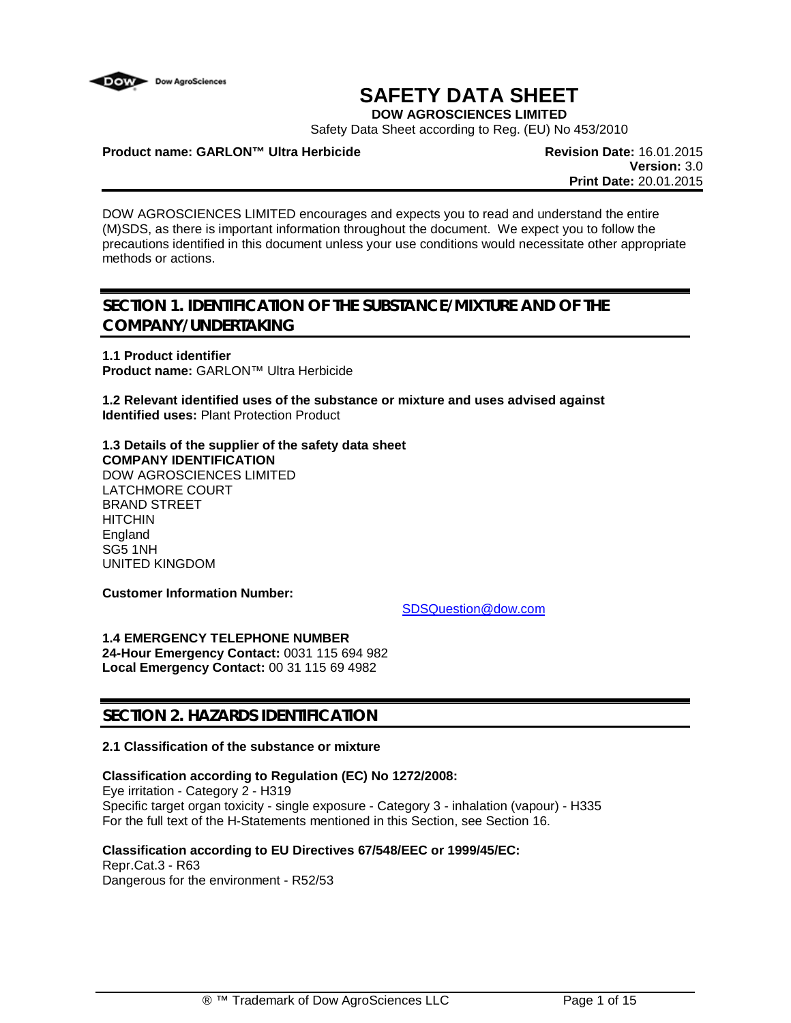

# **SAFETY DATA SHEET**

**DOW AGROSCIENCES LIMITED**

Safety Data Sheet according to Reg. (EU) No 453/2010

#### **Product name: GARLON™ Ultra Herbicide Revision Date:** 16.01.2015

**Version:** 3.0 **Print Date:** 20.01.2015

DOW AGROSCIENCES LIMITED encourages and expects you to read and understand the entire (M)SDS, as there is important information throughout the document. We expect you to follow the precautions identified in this document unless your use conditions would necessitate other appropriate methods or actions.

## **SECTION 1. IDENTIFICATION OF THE SUBSTANCE/MIXTURE AND OF THE COMPANY/UNDERTAKING**

**1.1 Product identifier Product name:** GARLON™ Ultra Herbicide

**1.2 Relevant identified uses of the substance or mixture and uses advised against Identified uses:** Plant Protection Product

**1.3 Details of the supplier of the safety data sheet COMPANY IDENTIFICATION** DOW AGROSCIENCES LIMITED LATCHMORE COURT BRAND STREET **HITCHIN** England SG5 1NH UNITED KINGDOM

**Customer Information Number:**

[SDSQuestion@dow.com](mailto:SDSQuestion@dow.com)

**1.4 EMERGENCY TELEPHONE NUMBER 24-Hour Emergency Contact:** 0031 115 694 982 **Local Emergency Contact:** 00 31 115 69 4982

### **SECTION 2. HAZARDS IDENTIFICATION**

#### **2.1 Classification of the substance or mixture**

#### **Classification according to Regulation (EC) No 1272/2008:**

Eye irritation - Category 2 - H319 Specific target organ toxicity - single exposure - Category 3 - inhalation (vapour) - H335 For the full text of the H-Statements mentioned in this Section, see Section 16.

#### **Classification according to EU Directives 67/548/EEC or 1999/45/EC:**

Repr.Cat.3 - R63 Dangerous for the environment - R52/53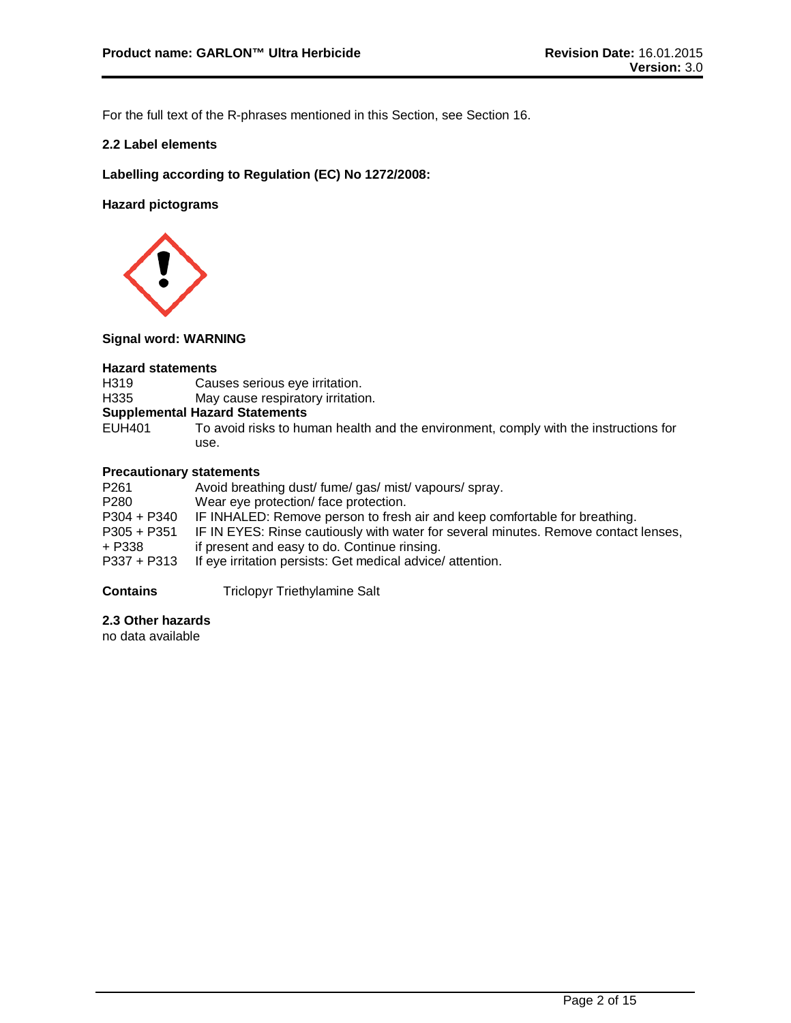For the full text of the R-phrases mentioned in this Section, see Section 16.

#### **2.2 Label elements**

**Labelling according to Regulation (EC) No 1272/2008:**

**Hazard pictograms**



#### **Signal word: WARNING**

- **Hazard statements** H319 Causes serious eye irritation.<br>H335 May cause respiratory irritation
- May cause respiratory irritation.

# **Supplemental Hazard Statements**

To avoid risks to human health and the environment, comply with the instructions for use.

#### **Precautionary statements**

| P261        | Avoid breathing dust/ fume/ gas/ mist/ vapours/ spray.                              |
|-------------|-------------------------------------------------------------------------------------|
| P280        | Wear eye protection/face protection.                                                |
| P304 + P340 | IF INHALED: Remove person to fresh air and keep comfortable for breathing.          |
| P305 + P351 | IF IN EYES: Rinse cautiously with water for several minutes. Remove contact lenses, |
| + P338      | if present and easy to do. Continue rinsing.                                        |
| P337 + P313 | If eye irritation persists: Get medical advice/attention.                           |
|             |                                                                                     |

#### **Contains** Triclopyr Triethylamine Salt

### **2.3 Other hazards**

no data available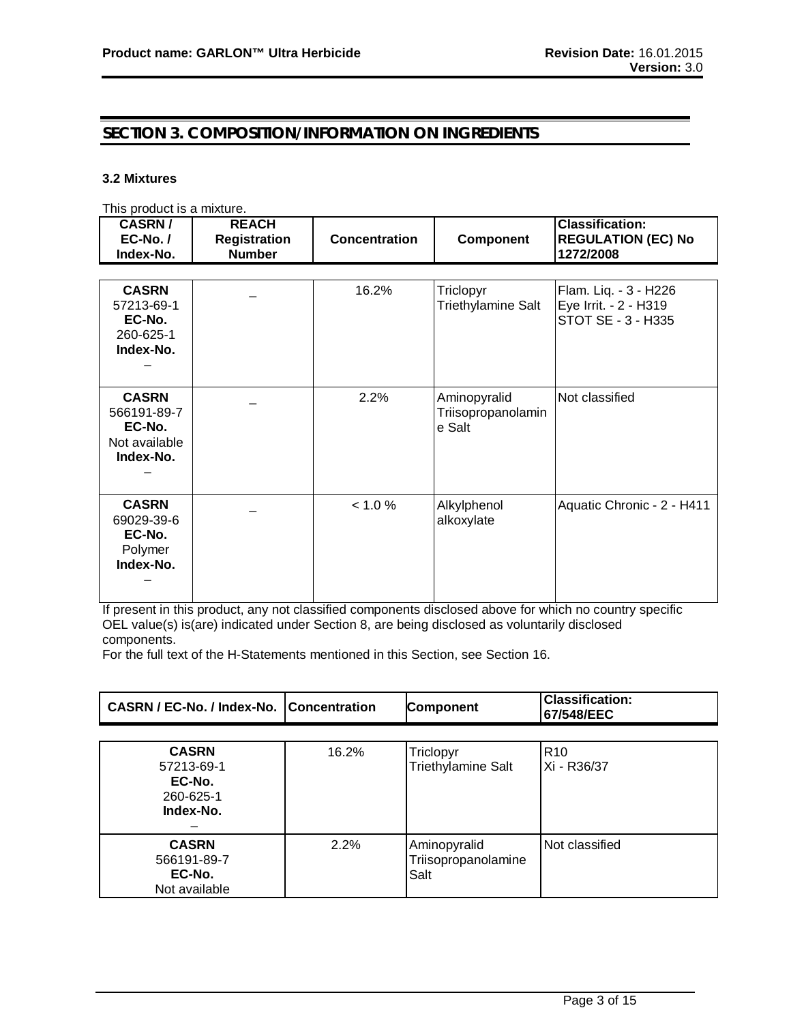### **SECTION 3. COMPOSITION/INFORMATION ON INGREDIENTS**

#### **3.2 Mixtures**

This product is a mixture.

| <b>CASRN/</b><br>$EC-No. /$<br>Index-No.                            | <b>REACH</b><br><b>Registration</b><br><b>Number</b> | <b>Concentration</b> | <b>Component</b>                             | <b>Classification:</b><br><b>REGULATION (EC) No</b><br>1272/2008     |
|---------------------------------------------------------------------|------------------------------------------------------|----------------------|----------------------------------------------|----------------------------------------------------------------------|
|                                                                     |                                                      |                      |                                              |                                                                      |
| <b>CASRN</b><br>57213-69-1<br>EC-No.<br>260-625-1<br>Index-No.      |                                                      | 16.2%                | Triclopyr<br>Triethylamine Salt              | Flam. Liq. - 3 - H226<br>Eye Irrit. - 2 - H319<br>STOT SE - 3 - H335 |
| <b>CASRN</b><br>566191-89-7<br>EC-No.<br>Not available<br>Index-No. |                                                      | 2.2%                 | Aminopyralid<br>Triisopropanolamin<br>e Salt | Not classified                                                       |
| <b>CASRN</b><br>69029-39-6<br>EC-No.<br>Polymer<br>Index-No.        |                                                      | < 1.0 %              | Alkylphenol<br>alkoxylate                    | Aquatic Chronic - 2 - H411                                           |

If present in this product, any not classified components disclosed above for which no country specific OEL value(s) is(are) indicated under Section 8, are being disclosed as voluntarily disclosed components.

For the full text of the H-Statements mentioned in this Section, see Section 16.

| <b>CASRN / EC-No. / Index-No. Concentration</b> | <b>Component</b> | <b>Classification:</b><br>67/548/EEC |
|-------------------------------------------------|------------------|--------------------------------------|
|                                                 |                  |                                      |

| <b>CASRN</b><br>57213-69-1<br>EC-No.<br>260-625-1<br>Index-No. | 16.2% | Triclopyr<br><b>Triethylamine Salt</b>      | R <sub>10</sub><br>Xi - R36/37 |
|----------------------------------------------------------------|-------|---------------------------------------------|--------------------------------|
| <b>CASRN</b><br>566191-89-7<br>EC-No.<br>Not available         | 2.2%  | Aminopyralid<br>Triisopropanolamine<br>Salt | Not classified                 |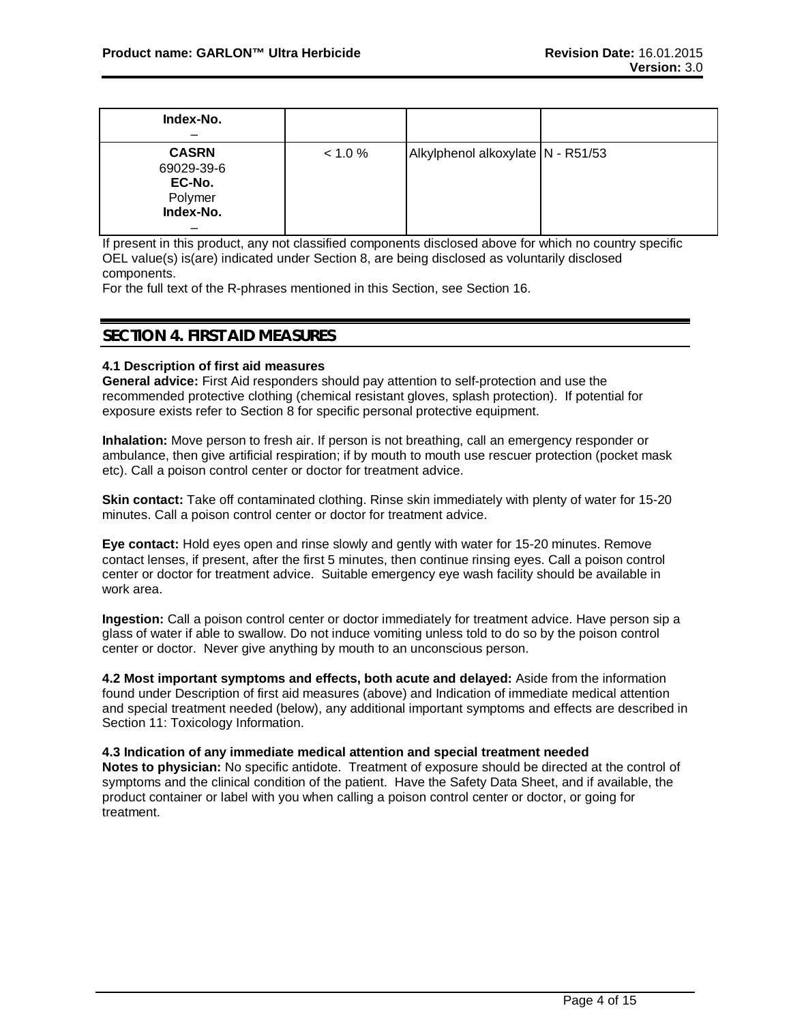| Index-No.<br>–                                               |         |                                   |  |
|--------------------------------------------------------------|---------|-----------------------------------|--|
| <b>CASRN</b><br>69029-39-6<br>EC-No.<br>Polymer<br>Index-No. | < 1.0 % | Alkylphenol alkoxylate N - R51/53 |  |

If present in this product, any not classified components disclosed above for which no country specific OEL value(s) is(are) indicated under Section 8, are being disclosed as voluntarily disclosed components.

For the full text of the R-phrases mentioned in this Section, see Section 16.

### **SECTION 4. FIRST AID MEASURES**

#### **4.1 Description of first aid measures**

**General advice:** First Aid responders should pay attention to self-protection and use the recommended protective clothing (chemical resistant gloves, splash protection). If potential for exposure exists refer to Section 8 for specific personal protective equipment.

**Inhalation:** Move person to fresh air. If person is not breathing, call an emergency responder or ambulance, then give artificial respiration; if by mouth to mouth use rescuer protection (pocket mask etc). Call a poison control center or doctor for treatment advice.

**Skin contact:** Take off contaminated clothing. Rinse skin immediately with plenty of water for 15-20 minutes. Call a poison control center or doctor for treatment advice.

**Eye contact:** Hold eyes open and rinse slowly and gently with water for 15-20 minutes. Remove contact lenses, if present, after the first 5 minutes, then continue rinsing eyes. Call a poison control center or doctor for treatment advice. Suitable emergency eye wash facility should be available in work area.

**Ingestion:** Call a poison control center or doctor immediately for treatment advice. Have person sip a glass of water if able to swallow. Do not induce vomiting unless told to do so by the poison control center or doctor. Never give anything by mouth to an unconscious person.

**4.2 Most important symptoms and effects, both acute and delayed:** Aside from the information found under Description of first aid measures (above) and Indication of immediate medical attention and special treatment needed (below), any additional important symptoms and effects are described in Section 11: Toxicology Information.

**4.3 Indication of any immediate medical attention and special treatment needed Notes to physician:** No specific antidote. Treatment of exposure should be directed at the control of symptoms and the clinical condition of the patient. Have the Safety Data Sheet, and if available, the product container or label with you when calling a poison control center or doctor, or going for treatment.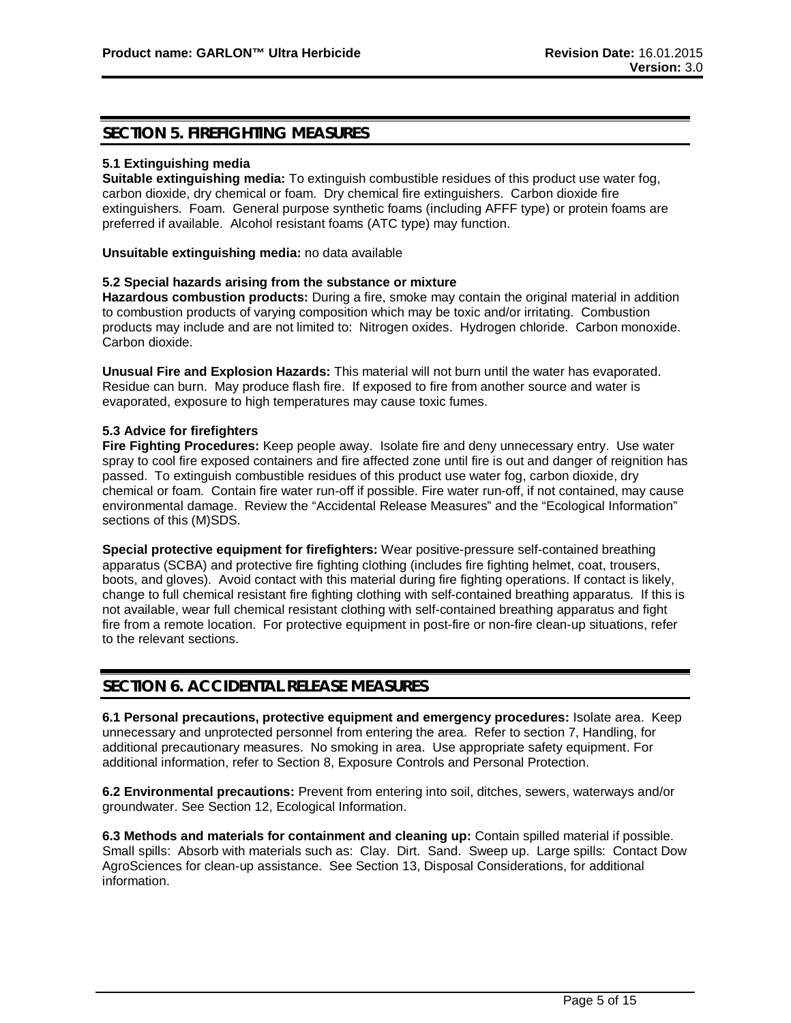### **SECTION 5. FIREFIGHTING MEASURES**

#### **5.1 Extinguishing media**

**Suitable extinguishing media:** To extinguish combustible residues of this product use water fog, carbon dioxide, dry chemical or foam. Dry chemical fire extinguishers. Carbon dioxide fire extinguishers. Foam. General purpose synthetic foams (including AFFF type) or protein foams are preferred if available. Alcohol resistant foams (ATC type) may function.

**Unsuitable extinguishing media:** no data available

#### **5.2 Special hazards arising from the substance or mixture**

**Hazardous combustion products:** During a fire, smoke may contain the original material in addition to combustion products of varying composition which may be toxic and/or irritating. Combustion products may include and are not limited to: Nitrogen oxides. Hydrogen chloride. Carbon monoxide. Carbon dioxide.

**Unusual Fire and Explosion Hazards:** This material will not burn until the water has evaporated. Residue can burn. May produce flash fire. If exposed to fire from another source and water is evaporated, exposure to high temperatures may cause toxic fumes.

#### **5.3 Advice for firefighters**

**Fire Fighting Procedures:** Keep people away. Isolate fire and deny unnecessary entry. Use water spray to cool fire exposed containers and fire affected zone until fire is out and danger of reignition has passed. To extinguish combustible residues of this product use water fog, carbon dioxide, dry chemical or foam. Contain fire water run-off if possible. Fire water run-off, if not contained, may cause environmental damage. Review the "Accidental Release Measures" and the "Ecological Information" sections of this (M)SDS.

**Special protective equipment for firefighters:** Wear positive-pressure self-contained breathing apparatus (SCBA) and protective fire fighting clothing (includes fire fighting helmet, coat, trousers, boots, and gloves). Avoid contact with this material during fire fighting operations. If contact is likely, change to full chemical resistant fire fighting clothing with self-contained breathing apparatus. If this is not available, wear full chemical resistant clothing with self-contained breathing apparatus and fight fire from a remote location. For protective equipment in post-fire or non-fire clean-up situations, refer to the relevant sections.

### **SECTION 6. ACCIDENTAL RELEASE MEASURES**

**6.1 Personal precautions, protective equipment and emergency procedures:** Isolate area. Keep unnecessary and unprotected personnel from entering the area. Refer to section 7, Handling, for additional precautionary measures. No smoking in area. Use appropriate safety equipment. For additional information, refer to Section 8, Exposure Controls and Personal Protection.

**6.2 Environmental precautions:** Prevent from entering into soil, ditches, sewers, waterways and/or groundwater. See Section 12, Ecological Information.

**6.3 Methods and materials for containment and cleaning up:** Contain spilled material if possible. Small spills: Absorb with materials such as: Clay. Dirt. Sand. Sweep up. Large spills: Contact Dow AgroSciences for clean-up assistance. See Section 13, Disposal Considerations, for additional information.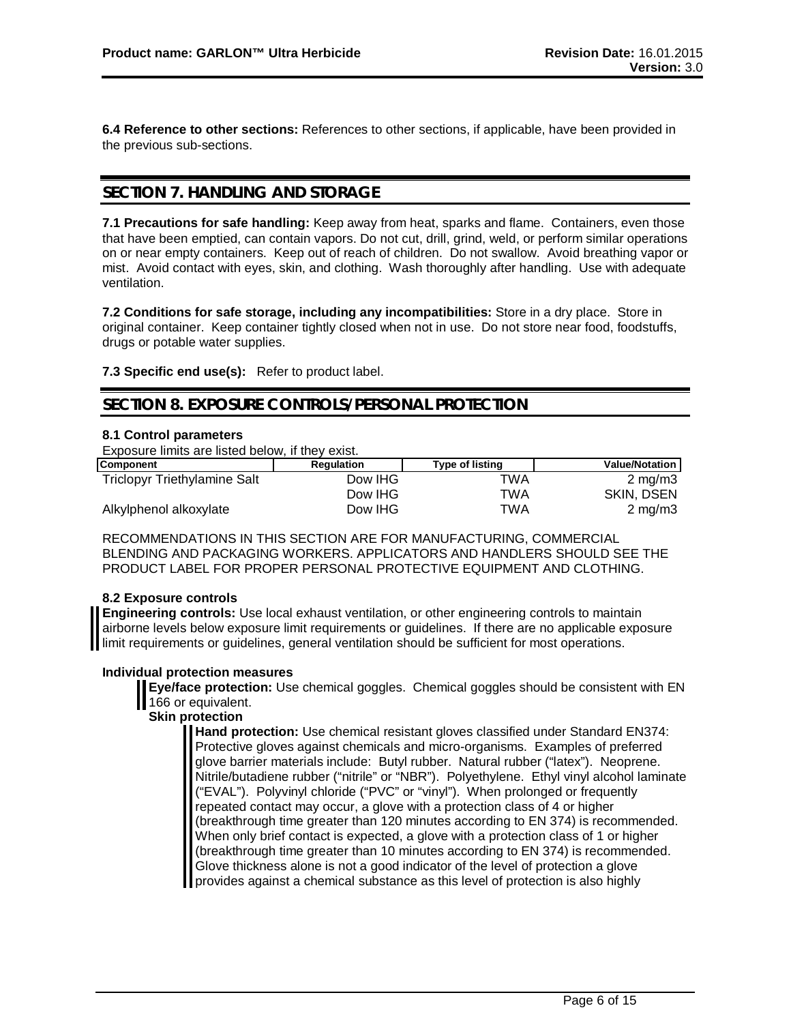**6.4 Reference to other sections:** References to other sections, if applicable, have been provided in the previous sub-sections.

### **SECTION 7. HANDLING AND STORAGE**

**7.1 Precautions for safe handling:** Keep away from heat, sparks and flame. Containers, even those that have been emptied, can contain vapors. Do not cut, drill, grind, weld, or perform similar operations on or near empty containers. Keep out of reach of children. Do not swallow. Avoid breathing vapor or mist. Avoid contact with eyes, skin, and clothing. Wash thoroughly after handling. Use with adequate ventilation.

**7.2 Conditions for safe storage, including any incompatibilities:** Store in a dry place. Store in original container. Keep container tightly closed when not in use. Do not store near food, foodstuffs, drugs or potable water supplies.

**7.3 Specific end use(s):** Refer to product label.

### **SECTION 8. EXPOSURE CONTROLS/PERSONAL PROTECTION**

#### **8.1 Control parameters**

Exposure limits are listed below, if they exist.

| <b>Component</b>             | <b>Regulation</b> | <b>Type of listing</b> | <b>Value/Notation</b> |
|------------------------------|-------------------|------------------------|-----------------------|
| Triclopyr Triethylamine Salt | Dow IHG           | TWA                    | $2 \text{ mg/m}$      |
|                              | Dow IHG           | TWA                    | SKIN, DSEN            |
| Alkylphenol alkoxylate       | Dow IHG           | TWA                    | $2 \text{ ma/m}$ 3    |

RECOMMENDATIONS IN THIS SECTION ARE FOR MANUFACTURING, COMMERCIAL BLENDING AND PACKAGING WORKERS. APPLICATORS AND HANDLERS SHOULD SEE THE PRODUCT LABEL FOR PROPER PERSONAL PROTECTIVE EQUIPMENT AND CLOTHING.

#### **8.2 Exposure controls**

**Engineering controls:** Use local exhaust ventilation, or other engineering controls to maintain airborne levels below exposure limit requirements or guidelines. If there are no applicable exposure I limit requirements or guidelines, general ventilation should be sufficient for most operations.

#### **Individual protection measures**

**Eye/face protection:** Use chemical goggles. Chemical goggles should be consistent with EN 166 or equivalent.

### **Skin protection**

**Hand protection:** Use chemical resistant gloves classified under Standard EN374: Protective gloves against chemicals and micro-organisms. Examples of preferred glove barrier materials include: Butyl rubber. Natural rubber ("latex"). Neoprene. Nitrile/butadiene rubber ("nitrile" or "NBR"). Polyethylene. Ethyl vinyl alcohol laminate ("EVAL"). Polyvinyl chloride ("PVC" or "vinyl"). When prolonged or frequently repeated contact may occur, a glove with a protection class of 4 or higher (breakthrough time greater than 120 minutes according to EN 374) is recommended. When only brief contact is expected, a glove with a protection class of 1 or higher (breakthrough time greater than 10 minutes according to EN 374) is recommended. Glove thickness alone is not a good indicator of the level of protection a glove **I** provides against a chemical substance as this level of protection is also highly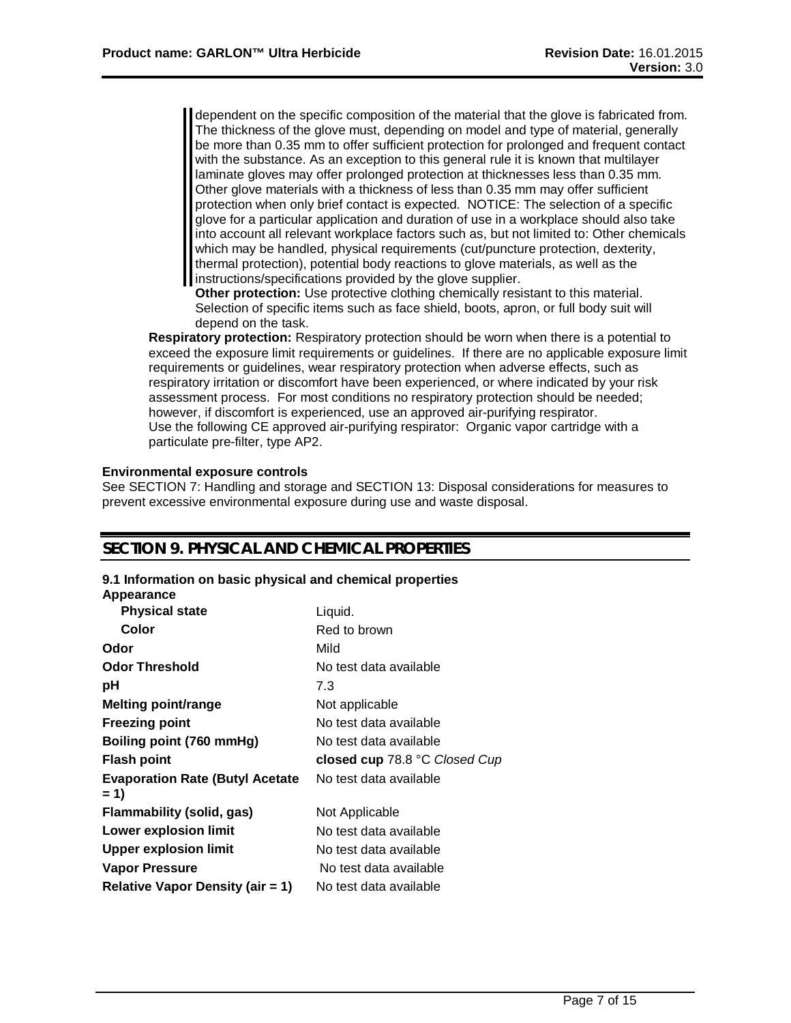dependent on the specific composition of the material that the glove is fabricated from. The thickness of the glove must, depending on model and type of material, generally be more than 0.35 mm to offer sufficient protection for prolonged and frequent contact with the substance. As an exception to this general rule it is known that multilayer laminate gloves may offer prolonged protection at thicknesses less than 0.35 mm. Other glove materials with a thickness of less than 0.35 mm may offer sufficient protection when only brief contact is expected. NOTICE: The selection of a specific glove for a particular application and duration of use in a workplace should also take into account all relevant workplace factors such as, but not limited to: Other chemicals which may be handled, physical requirements (cut/puncture protection, dexterity, thermal protection), potential body reactions to glove materials, as well as the instructions/specifications provided by the glove supplier.

**Other protection:** Use protective clothing chemically resistant to this material. Selection of specific items such as face shield, boots, apron, or full body suit will depend on the task.

**Respiratory protection:** Respiratory protection should be worn when there is a potential to exceed the exposure limit requirements or guidelines. If there are no applicable exposure limit requirements or guidelines, wear respiratory protection when adverse effects, such as respiratory irritation or discomfort have been experienced, or where indicated by your risk assessment process. For most conditions no respiratory protection should be needed; however, if discomfort is experienced, use an approved air-purifying respirator. Use the following CE approved air-purifying respirator: Organic vapor cartridge with a particulate pre-filter, type AP2.

#### **Environmental exposure controls**

See SECTION 7: Handling and storage and SECTION 13: Disposal considerations for measures to prevent excessive environmental exposure during use and waste disposal.

### **SECTION 9. PHYSICAL AND CHEMICAL PROPERTIES**

#### **9.1 Information on basic physical and chemical properties**

**Appearance**

| <b>Physical state</b>                           | Liquid.                       |
|-------------------------------------------------|-------------------------------|
| Color                                           | Red to brown                  |
| Odor                                            | Mild                          |
| <b>Odor Threshold</b>                           | No test data available        |
| рH                                              | 7.3                           |
| <b>Melting point/range</b>                      | Not applicable                |
| <b>Freezing point</b>                           | No test data available        |
| Boiling point (760 mmHg)                        | No test data available        |
| <b>Flash point</b>                              | closed cup 78.8 °C Closed Cup |
| <b>Evaporation Rate (Butyl Acetate)</b><br>= 1) | No test data available        |
| Flammability (solid, gas)                       | Not Applicable                |
| <b>Lower explosion limit</b>                    | No test data available        |
|                                                 |                               |
| <b>Upper explosion limit</b>                    | No test data available        |
| <b>Vapor Pressure</b>                           | No test data available        |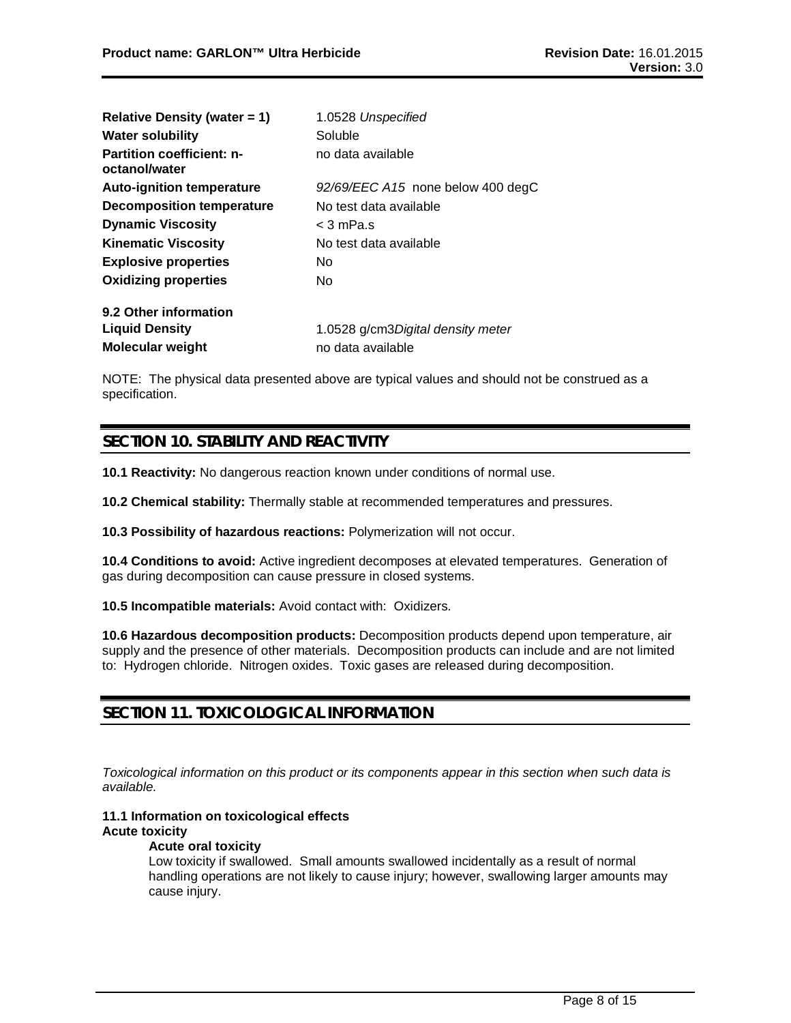| Relative Density (water $= 1$ )                   | 1.0528 Unspecified                |  |  |
|---------------------------------------------------|-----------------------------------|--|--|
| <b>Water solubility</b>                           | Soluble                           |  |  |
| <b>Partition coefficient: n-</b><br>octanol/water | no data available                 |  |  |
| <b>Auto-ignition temperature</b>                  | 92/69/EEC A15 none below 400 degC |  |  |
| <b>Decomposition temperature</b>                  | No test data available            |  |  |
| <b>Dynamic Viscosity</b>                          | $<$ 3 mPa.s                       |  |  |
| <b>Kinematic Viscosity</b>                        | No test data available            |  |  |
| <b>Explosive properties</b>                       | No.                               |  |  |
| <b>Oxidizing properties</b>                       | No.                               |  |  |
| 9.2 Other information                             |                                   |  |  |
| <b>Liquid Density</b>                             | 1.0528 g/cm3Digital density meter |  |  |
| <b>Molecular weight</b>                           | no data available                 |  |  |

NOTE: The physical data presented above are typical values and should not be construed as a specification.

## **SECTION 10. STABILITY AND REACTIVITY**

**10.1 Reactivity:** No dangerous reaction known under conditions of normal use.

**10.2 Chemical stability:** Thermally stable at recommended temperatures and pressures.

**10.3 Possibility of hazardous reactions:** Polymerization will not occur.

**10.4 Conditions to avoid:** Active ingredient decomposes at elevated temperatures. Generation of gas during decomposition can cause pressure in closed systems.

**10.5 Incompatible materials:** Avoid contact with: Oxidizers.

**10.6 Hazardous decomposition products:** Decomposition products depend upon temperature, air supply and the presence of other materials. Decomposition products can include and are not limited to: Hydrogen chloride. Nitrogen oxides. Toxic gases are released during decomposition.

### **SECTION 11. TOXICOLOGICAL INFORMATION**

*Toxicological information on this product or its components appear in this section when such data is available.*

### **11.1 Information on toxicological effects Acute toxicity**

**Acute oral toxicity**

Low toxicity if swallowed. Small amounts swallowed incidentally as a result of normal handling operations are not likely to cause injury; however, swallowing larger amounts may cause injury.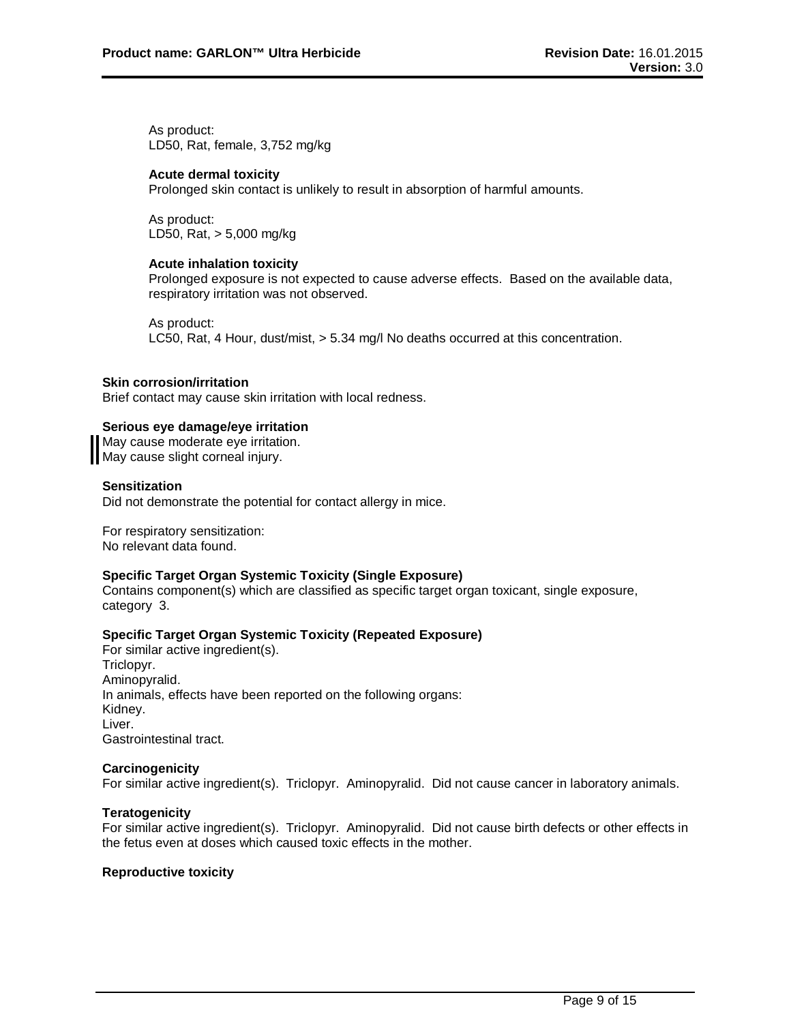As product: LD50, Rat, female, 3,752 mg/kg

#### **Acute dermal toxicity**

Prolonged skin contact is unlikely to result in absorption of harmful amounts.

As product: LD50, Rat, > 5,000 mg/kg

#### **Acute inhalation toxicity**

Prolonged exposure is not expected to cause adverse effects. Based on the available data, respiratory irritation was not observed.

As product: LC50, Rat, 4 Hour, dust/mist, > 5.34 mg/l No deaths occurred at this concentration.

#### **Skin corrosion/irritation**

Brief contact may cause skin irritation with local redness.

#### **Serious eye damage/eye irritation**

May cause moderate eye irritation. May cause slight corneal injury.

#### **Sensitization**

Did not demonstrate the potential for contact allergy in mice.

For respiratory sensitization: No relevant data found.

#### **Specific Target Organ Systemic Toxicity (Single Exposure)**

Contains component(s) which are classified as specific target organ toxicant, single exposure, category 3.

#### **Specific Target Organ Systemic Toxicity (Repeated Exposure)**

For similar active ingredient(s). Triclopyr. Aminopyralid. In animals, effects have been reported on the following organs: Kidney. Liver. Gastrointestinal tract.

#### **Carcinogenicity**

For similar active ingredient(s). Triclopyr. Aminopyralid. Did not cause cancer in laboratory animals.

#### **Teratogenicity**

For similar active ingredient(s). Triclopyr. Aminopyralid. Did not cause birth defects or other effects in the fetus even at doses which caused toxic effects in the mother.

#### **Reproductive toxicity**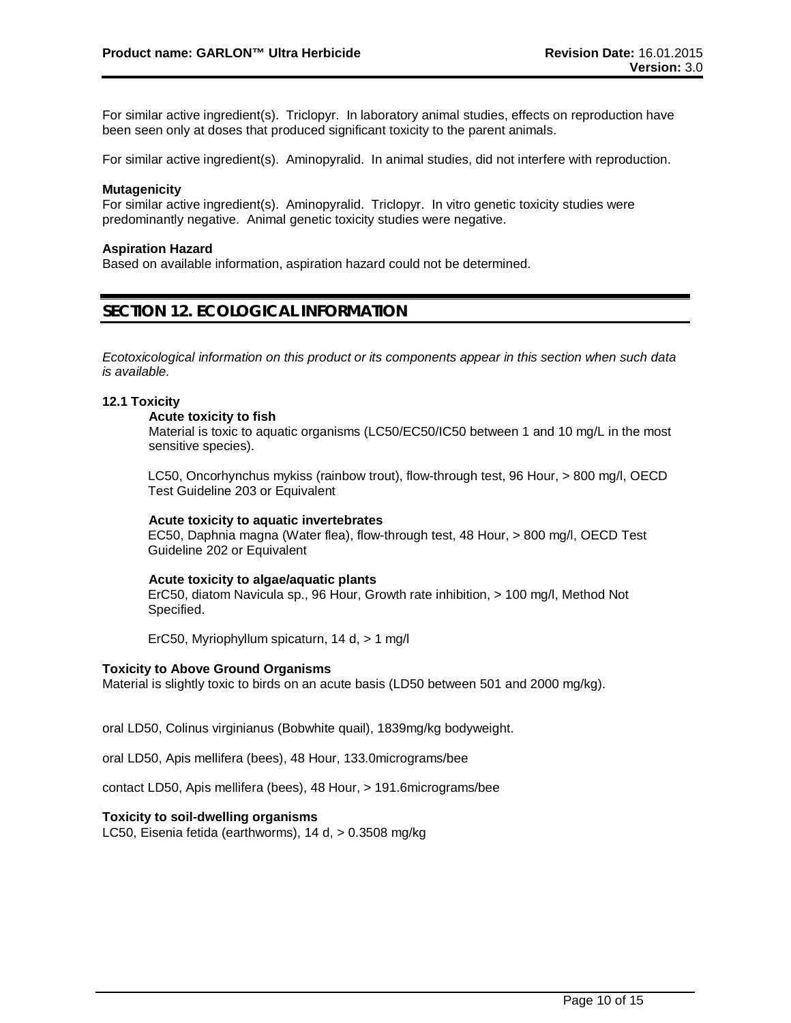For similar active ingredient(s). Triclopyr. In laboratory animal studies, effects on reproduction have been seen only at doses that produced significant toxicity to the parent animals.

For similar active ingredient(s). Aminopyralid. In animal studies, did not interfere with reproduction.

#### **Mutagenicity**

For similar active ingredient(s). Aminopyralid. Triclopyr. In vitro genetic toxicity studies were predominantly negative. Animal genetic toxicity studies were negative.

#### **Aspiration Hazard**

Based on available information, aspiration hazard could not be determined.

### **SECTION 12. ECOLOGICAL INFORMATION**

*Ecotoxicological information on this product or its components appear in this section when such data is available.*

#### **12.1 Toxicity**

#### **Acute toxicity to fish**

Material is toxic to aquatic organisms (LC50/EC50/IC50 between 1 and 10 mg/L in the most sensitive species).

LC50, Oncorhynchus mykiss (rainbow trout), flow-through test, 96 Hour, > 800 mg/l, OECD Test Guideline 203 or Equivalent

#### **Acute toxicity to aquatic invertebrates**

EC50, Daphnia magna (Water flea), flow-through test, 48 Hour, > 800 mg/l, OECD Test Guideline 202 or Equivalent

#### **Acute toxicity to algae/aquatic plants**

ErC50, diatom Navicula sp., 96 Hour, Growth rate inhibition, > 100 mg/l, Method Not Specified.

ErC50, Myriophyllum spicaturn, 14 d, > 1 mg/l

#### **Toxicity to Above Ground Organisms**

Material is slightly toxic to birds on an acute basis (LD50 between 501 and 2000 mg/kg).

oral LD50, Colinus virginianus (Bobwhite quail), 1839mg/kg bodyweight.

oral LD50, Apis mellifera (bees), 48 Hour, 133.0micrograms/bee

contact LD50, Apis mellifera (bees), 48 Hour, > 191.6micrograms/bee

#### **Toxicity to soil-dwelling organisms**

LC50, Eisenia fetida (earthworms), 14 d, > 0.3508 mg/kg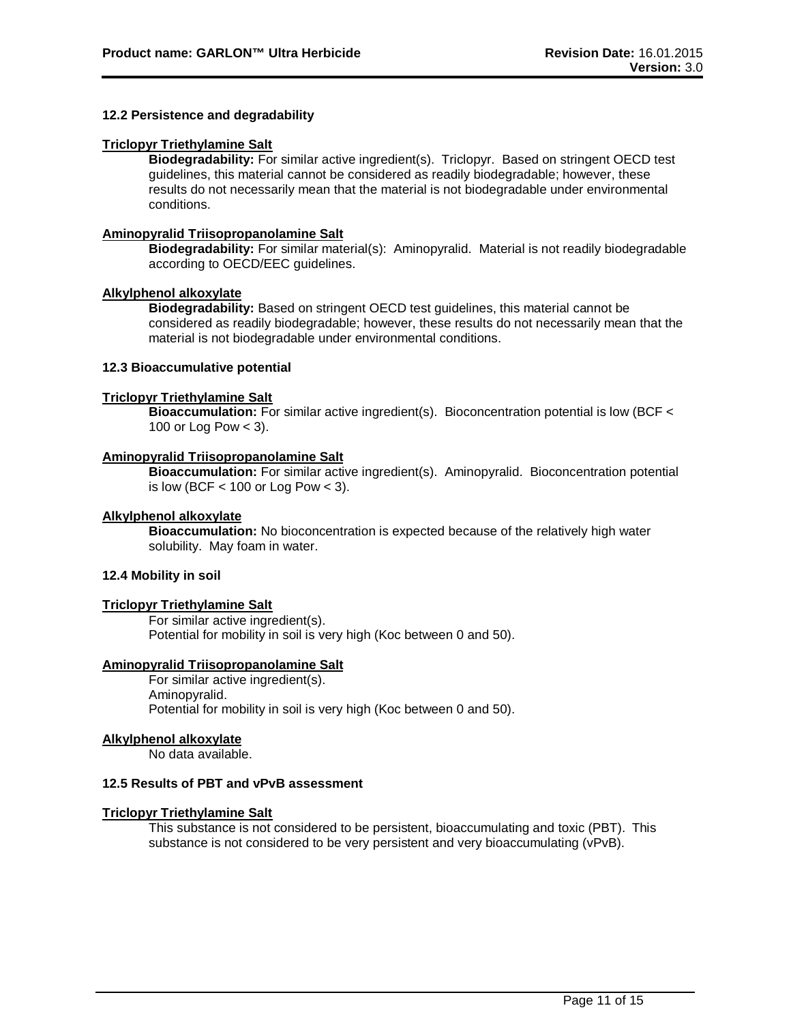#### **12.2 Persistence and degradability**

#### **Triclopyr Triethylamine Salt**

**Biodegradability:** For similar active ingredient(s). Triclopyr. Based on stringent OECD test guidelines, this material cannot be considered as readily biodegradable; however, these results do not necessarily mean that the material is not biodegradable under environmental conditions.

### **Aminopyralid Triisopropanolamine Salt**

**Biodegradability:** For similar material(s): Aminopyralid. Material is not readily biodegradable according to OECD/EEC guidelines.

#### **Alkylphenol alkoxylate**

**Biodegradability:** Based on stringent OECD test guidelines, this material cannot be considered as readily biodegradable; however, these results do not necessarily mean that the material is not biodegradable under environmental conditions.

#### **12.3 Bioaccumulative potential**

#### **Triclopyr Triethylamine Salt**

**Bioaccumulation:** For similar active ingredient(s). Bioconcentration potential is low (BCF < 100 or Log Pow < 3).

#### **Aminopyralid Triisopropanolamine Salt**

**Bioaccumulation:** For similar active ingredient(s). Aminopyralid. Bioconcentration potential is low (BCF  $<$  100 or Log Pow  $<$  3).

#### **Alkylphenol alkoxylate**

**Bioaccumulation:** No bioconcentration is expected because of the relatively high water solubility. May foam in water.

#### **12.4 Mobility in soil**

#### **Triclopyr Triethylamine Salt**

For similar active ingredient(s). Potential for mobility in soil is very high (Koc between 0 and 50).

#### **Aminopyralid Triisopropanolamine Salt**

For similar active ingredient(s). Aminopyralid. Potential for mobility in soil is very high (Koc between 0 and 50).

#### **Alkylphenol alkoxylate**

No data available.

#### **12.5 Results of PBT and vPvB assessment**

#### **Triclopyr Triethylamine Salt**

This substance is not considered to be persistent, bioaccumulating and toxic (PBT). This substance is not considered to be very persistent and very bioaccumulating (vPvB).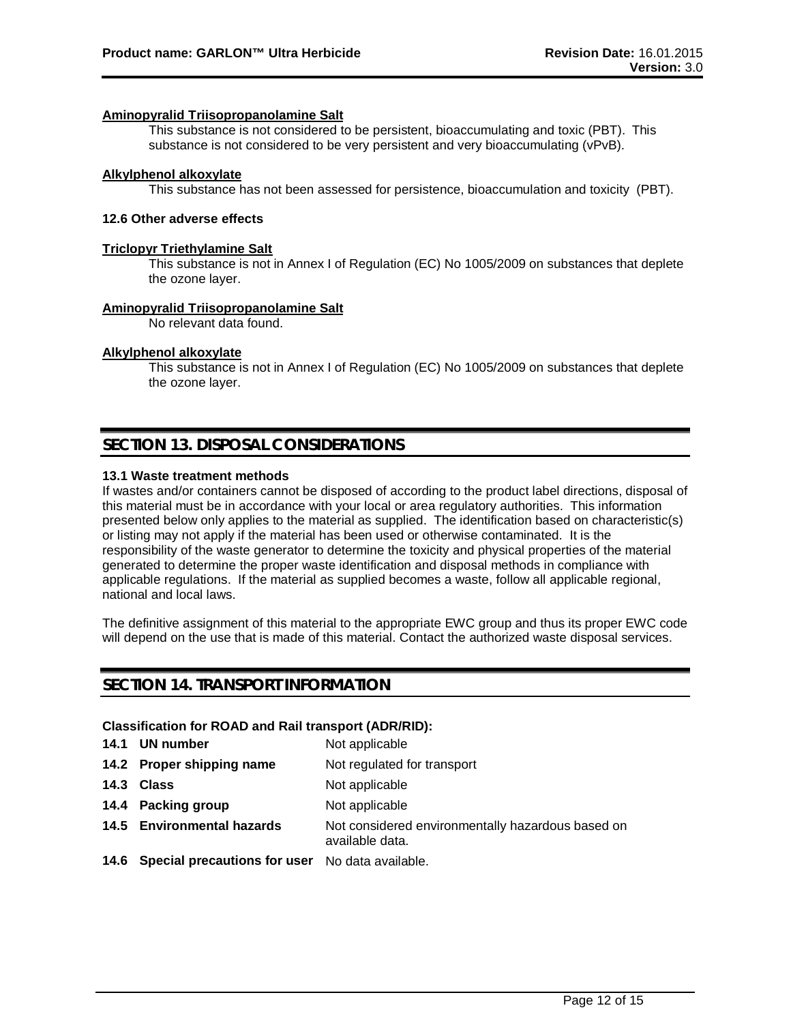#### **Aminopyralid Triisopropanolamine Salt**

This substance is not considered to be persistent, bioaccumulating and toxic (PBT). This substance is not considered to be very persistent and very bioaccumulating (vPvB).

#### **Alkylphenol alkoxylate**

This substance has not been assessed for persistence, bioaccumulation and toxicity (PBT).

#### **12.6 Other adverse effects**

#### **Triclopyr Triethylamine Salt**

This substance is not in Annex I of Regulation (EC) No 1005/2009 on substances that deplete the ozone layer.

#### **Aminopyralid Triisopropanolamine Salt**

No relevant data found.

#### **Alkylphenol alkoxylate**

This substance is not in Annex I of Regulation (EC) No 1005/2009 on substances that deplete the ozone layer.

### **SECTION 13. DISPOSAL CONSIDERATIONS**

#### **13.1 Waste treatment methods**

If wastes and/or containers cannot be disposed of according to the product label directions, disposal of this material must be in accordance with your local or area regulatory authorities. This information presented below only applies to the material as supplied. The identification based on characteristic(s) or listing may not apply if the material has been used or otherwise contaminated. It is the responsibility of the waste generator to determine the toxicity and physical properties of the material generated to determine the proper waste identification and disposal methods in compliance with applicable regulations. If the material as supplied becomes a waste, follow all applicable regional, national and local laws.

The definitive assignment of this material to the appropriate EWC group and thus its proper EWC code will depend on the use that is made of this material. Contact the authorized waste disposal services.

### **SECTION 14. TRANSPORT INFORMATION**

#### **Classification for ROAD and Rail transport (ADR/RID):**

|      | 14.1 UN number                                       | Not applicable                                                       |
|------|------------------------------------------------------|----------------------------------------------------------------------|
|      | 14.2 Proper shipping name                            | Not regulated for transport                                          |
| 14.3 | Class                                                | Not applicable                                                       |
|      | 14.4 Packing group                                   | Not applicable                                                       |
|      | 14.5 Environmental hazards                           | Not considered environmentally hazardous based on<br>available data. |
|      | 14.6 Special precautions for user No data available. |                                                                      |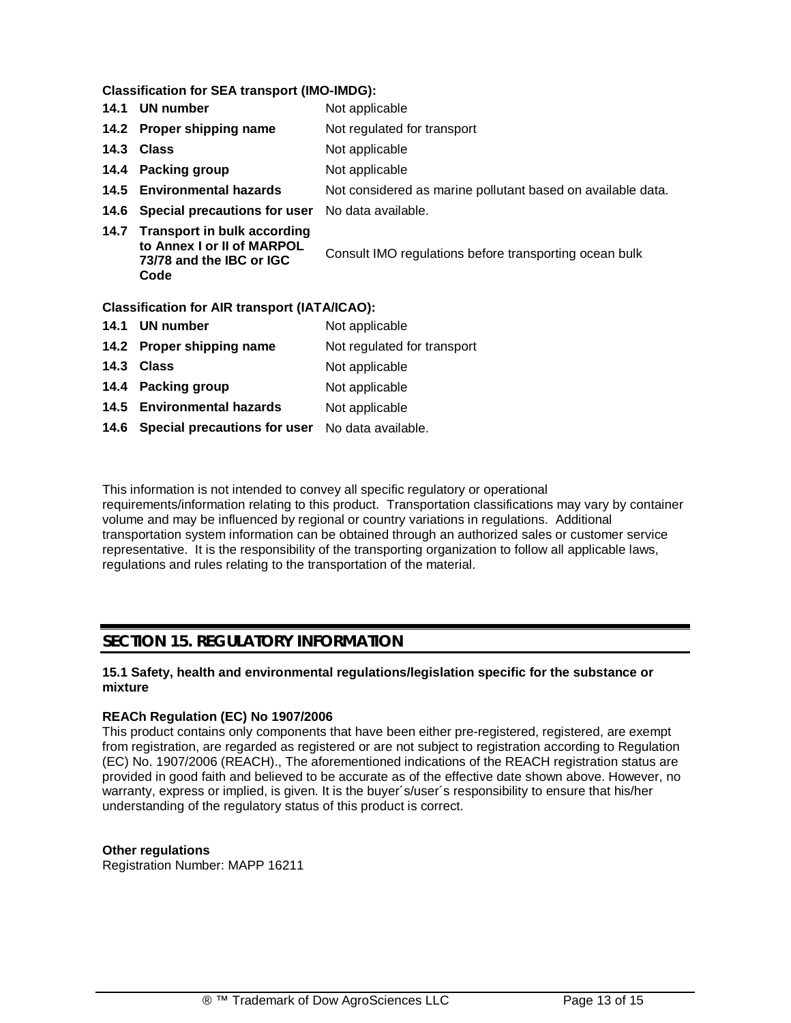**Classification for SEA transport (IMO-IMDG):**

| 14.1 | <b>UN number</b>                                                                                   | Not applicable                                              |
|------|----------------------------------------------------------------------------------------------------|-------------------------------------------------------------|
|      | 14.2 Proper shipping name                                                                          | Not regulated for transport                                 |
| 14.3 | <b>Class</b>                                                                                       | Not applicable                                              |
| 14.4 | <b>Packing group</b>                                                                               | Not applicable                                              |
| 14.5 | <b>Environmental hazards</b>                                                                       | Not considered as marine pollutant based on available data. |
| 14.6 | Special precautions for user                                                                       | No data available.                                          |
|      | 14.7 Transport in bulk according<br>to Annex I or II of MARPOL<br>73/78 and the IBC or IGC<br>Code | Consult IMO regulations before transporting ocean bulk      |
|      | <b>Classification for AIR transport (IATA/ICAO):</b>                                               |                                                             |
| 14.1 | <b>UN number</b>                                                                                   | Not applicable                                              |
|      | 14.2 Proper shipping name                                                                          | Not regulated for transport                                 |
| 14.3 | <b>Class</b>                                                                                       | Not applicable                                              |
|      | 14.4 Packing group                                                                                 | Not applicable                                              |
| 14.5 | <b>Environmental hazards</b>                                                                       | Not applicable                                              |
|      | 14.6 Special precautions for user                                                                  | No data available.                                          |

This information is not intended to convey all specific regulatory or operational requirements/information relating to this product. Transportation classifications may vary by container volume and may be influenced by regional or country variations in regulations. Additional transportation system information can be obtained through an authorized sales or customer service representative. It is the responsibility of the transporting organization to follow all applicable laws, regulations and rules relating to the transportation of the material.

### **SECTION 15. REGULATORY INFORMATION**

#### **15.1 Safety, health and environmental regulations/legislation specific for the substance or mixture**

### **REACh Regulation (EC) No 1907/2006**

This product contains only components that have been either pre-registered, registered, are exempt from registration, are regarded as registered or are not subject to registration according to Regulation (EC) No. 1907/2006 (REACH)., The aforementioned indications of the REACH registration status are provided in good faith and believed to be accurate as of the effective date shown above. However, no warranty, express or implied, is given. It is the buyer´s/user´s responsibility to ensure that his/her understanding of the regulatory status of this product is correct.

#### **Other regulations**

Registration Number: MAPP 16211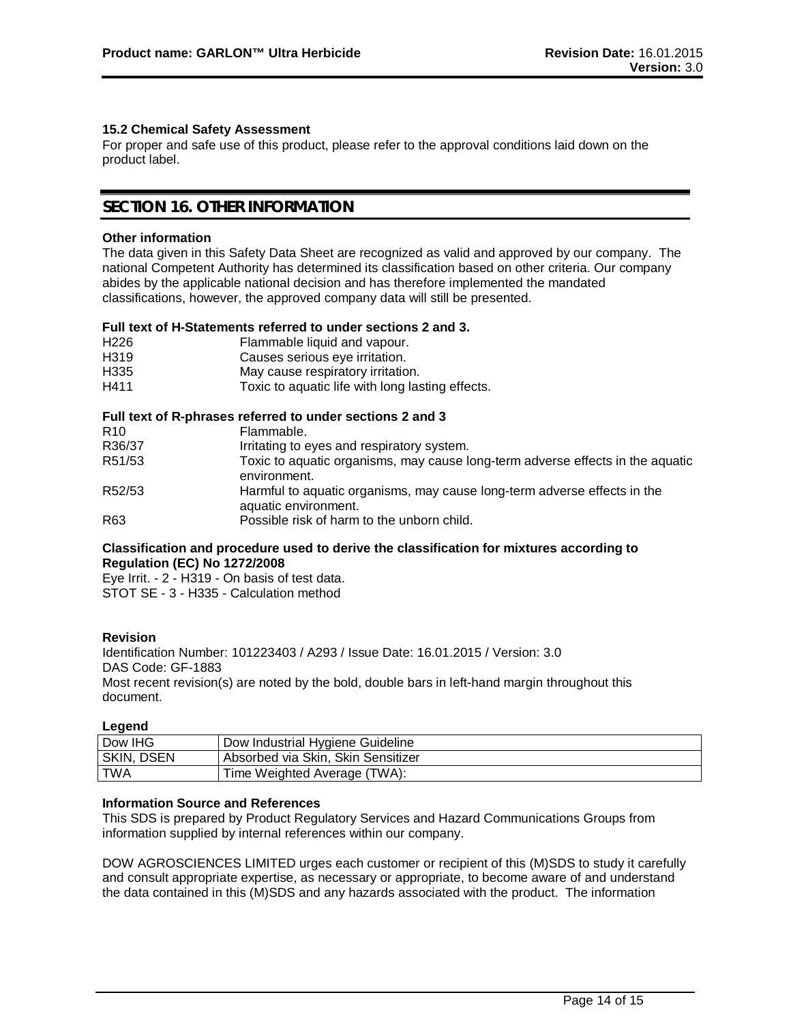#### **15.2 Chemical Safety Assessment**

For proper and safe use of this product, please refer to the approval conditions laid down on the product label.

### **SECTION 16. OTHER INFORMATION**

#### **Other information**

The data given in this Safety Data Sheet are recognized as valid and approved by our company. The national Competent Authority has determined its classification based on other criteria. Our company abides by the applicable national decision and has therefore implemented the mandated classifications, however, the approved company data will still be presented.

#### **Full text of H-Statements referred to under sections 2 and 3.**

| H <sub>226</sub> | Flammable liquid and vapour.                     |
|------------------|--------------------------------------------------|
| H <sub>319</sub> | Causes serious eye irritation.                   |
| H335             | May cause respiratory irritation.                |
| H411             | Toxic to aquatic life with long lasting effects. |

#### **Full text of R-phrases referred to under sections 2 and 3**

|                 | <u>I dii leat of It-philases felefred to dilder sections z and J</u>                             |
|-----------------|--------------------------------------------------------------------------------------------------|
| R <sub>10</sub> | Flammable.                                                                                       |
| R36/37          | Irritating to eyes and respiratory system.                                                       |
| R51/53          | Toxic to aquatic organisms, may cause long-term adverse effects in the aquatic<br>environment.   |
| R52/53          | Harmful to aquatic organisms, may cause long-term adverse effects in the<br>aquatic environment. |
| R63             | Possible risk of harm to the unborn child.                                                       |

#### **Classification and procedure used to derive the classification for mixtures according to Regulation (EC) No 1272/2008**

Eye Irrit. - 2 - H319 - On basis of test data. STOT SE - 3 - H335 - Calculation method

#### **Revision**

Identification Number: 101223403 / A293 / Issue Date: 16.01.2015 / Version: 3.0 DAS Code: GF-1883 Most recent revision(s) are noted by the bold, double bars in left-hand margin throughout this document.

#### **Legend**

| Dow IHG    | Dow Industrial Hygiene Guideline   |
|------------|------------------------------------|
| SKIN, DSEN | Absorbed via Skin, Skin Sensitizer |
| <b>TWA</b> | Time Weighted Average (TWA):       |

#### **Information Source and References**

This SDS is prepared by Product Regulatory Services and Hazard Communications Groups from information supplied by internal references within our company.

DOW AGROSCIENCES LIMITED urges each customer or recipient of this (M)SDS to study it carefully and consult appropriate expertise, as necessary or appropriate, to become aware of and understand the data contained in this (M)SDS and any hazards associated with the product. The information